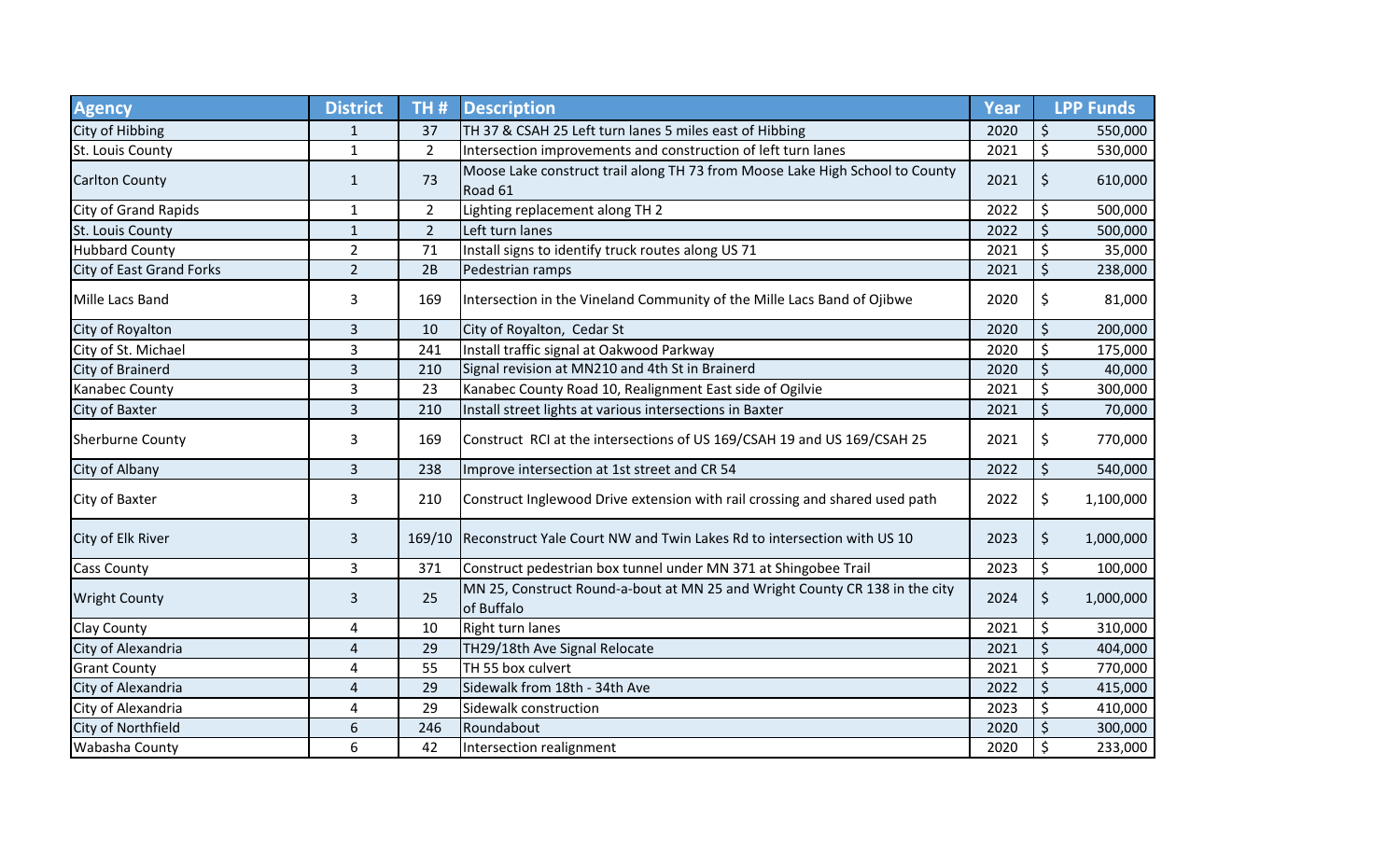| <b>Agency</b>            | <b>District</b>         | TH#            | <b>Description</b>                                                                        | <b>Year</b> | <b>LPP Funds</b> |
|--------------------------|-------------------------|----------------|-------------------------------------------------------------------------------------------|-------------|------------------|
| City of Hibbing          | $\mathbf{1}$            | 37             | TH 37 & CSAH 25 Left turn lanes 5 miles east of Hibbing                                   | 2020        | \$<br>550,000    |
| St. Louis County         | $\mathbf{1}$            | $\mathbf{2}$   | Intersection improvements and construction of left turn lanes                             | 2021        | \$<br>530,000    |
| <b>Carlton County</b>    | $\mathbf{1}$            | 73             | Moose Lake construct trail along TH 73 from Moose Lake High School to County<br>Road 61   | 2021        | \$<br>610,000    |
| City of Grand Rapids     | $\mathbf{1}$            | $\overline{2}$ | Lighting replacement along TH 2                                                           | 2022        | \$<br>500,000    |
| St. Louis County         | $\mathbf{1}$            | $\overline{2}$ | Left turn lanes                                                                           | 2022        | \$<br>500,000    |
| <b>Hubbard County</b>    | $\overline{2}$          | 71             | Install signs to identify truck routes along US 71                                        | 2021        | \$<br>35,000     |
| City of East Grand Forks | $\overline{2}$          | 2B             | Pedestrian ramps                                                                          | 2021        | \$<br>238,000    |
| Mille Lacs Band          | 3                       | 169            | Intersection in the Vineland Community of the Mille Lacs Band of Ojibwe                   | 2020        | \$<br>81,000     |
| City of Royalton         | $\mathsf 3$             | 10             | City of Royalton, Cedar St                                                                | 2020        | \$<br>200,000    |
| City of St. Michael      | 3                       | 241            | Install traffic signal at Oakwood Parkway                                                 | 2020        | \$<br>175,000    |
| City of Brainerd         | 3                       | 210            | Signal revision at MN210 and 4th St in Brainerd                                           | 2020        | \$<br>40,000     |
| Kanabec County           | 3                       | 23             | Kanabec County Road 10, Realignment East side of Ogilvie                                  | 2021        | \$<br>300,000    |
| City of Baxter           | 3                       | 210            | Install street lights at various intersections in Baxter                                  | 2021        | \$<br>70,000     |
| <b>Sherburne County</b>  | 3                       | 169            | Construct RCI at the intersections of US 169/CSAH 19 and US 169/CSAH 25                   | 2021        | \$<br>770,000    |
| City of Albany           | 3                       | 238            | Improve intersection at 1st street and CR 54                                              | 2022        | \$<br>540,000    |
| City of Baxter           | 3                       | 210            | Construct Inglewood Drive extension with rail crossing and shared used path               | 2022        | \$<br>1,100,000  |
| City of Elk River        | $\mathsf{3}$            |                | 169/10 Reconstruct Yale Court NW and Twin Lakes Rd to intersection with US 10             | 2023        | \$<br>1,000,000  |
| <b>Cass County</b>       | 3                       | 371            | Construct pedestrian box tunnel under MN 371 at Shingobee Trail                           | 2023        | \$<br>100,000    |
| <b>Wright County</b>     | 3                       | 25             | MN 25, Construct Round-a-bout at MN 25 and Wright County CR 138 in the city<br>of Buffalo | 2024        | \$<br>1,000,000  |
| Clay County              | 4                       | 10             | Right turn lanes                                                                          | 2021        | \$<br>310,000    |
| City of Alexandria       | $\overline{a}$          | 29             | TH29/18th Ave Signal Relocate                                                             | 2021        | \$<br>404,000    |
| <b>Grant County</b>      | $\overline{\mathbf{4}}$ | 55             | TH 55 box culvert                                                                         | 2021        | \$<br>770,000    |
| City of Alexandria       | $\overline{4}$          | 29             | Sidewalk from 18th - 34th Ave                                                             | 2022        | \$<br>415,000    |
| City of Alexandria       | $\overline{4}$          | 29             | Sidewalk construction                                                                     | 2023        | \$<br>410,000    |
| City of Northfield       | 6                       | 246            | Roundabout                                                                                | 2020        | \$<br>300,000    |
| Wabasha County           | 6                       | 42             | Intersection realignment                                                                  | 2020        | \$<br>233,000    |